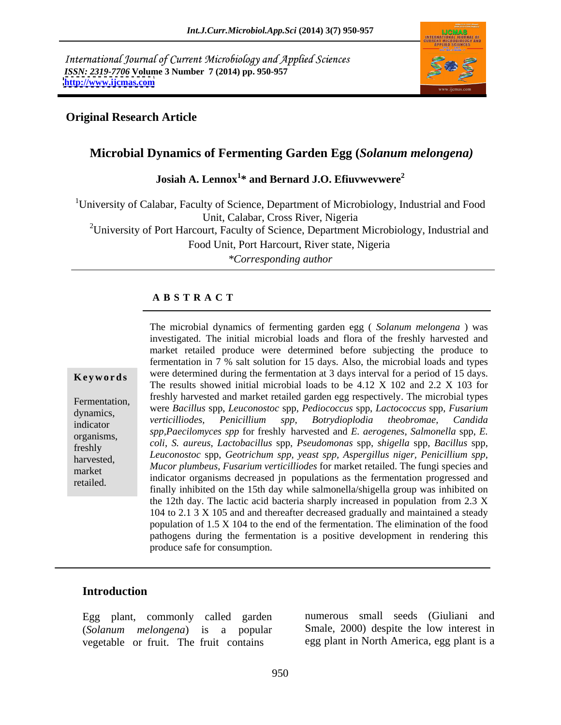International Journal of Current Microbiology and Applied Sciences *ISSN: 2319-7706* **Volume 3 Number 7 (2014) pp. 950-957 <http://www.ijcmas.com>**



### **Original Research Article**

## **Microbial Dynamics of Fermenting Garden Egg (***Solanum melongena)*

**Josiah A. Lennox<sup>1</sup> \* and Bernard J.O. Efiuvwevwere<sup>2</sup>**

<sup>1</sup>University of Calabar, Faculty of Science, Department of Microbiology, Industrial and Food Unit, Calabar, Cross River, Nigeria

<sup>2</sup>University of Port Harcourt, Faculty of Science, Department Microbiology, Industrial and

Food Unit, Port Harcourt, River state, Nigeria

*\*Corresponding author*

#### **A B S T R A C T**

**Keywords** were determined during the fermentation at 3 days interval for a period of 15 days. Fermentation, freshly harvested and market retailed garden egg respectively. The microbial types dynamics, were *Bacillus* spp, *Leuconostoc* spp, *Pediococcus* spp, *Lactococcus* spp, *Fusarium*  indicator veruculuoues, reniculuum spp, boiryalopioala ineopromae, canalaa organisms, *spp,Paecilomyces spp* for freshly harvested and *E. aerogenes*, *Salmonella* spp, *E.*  freshly *coli*, *S. aureus*, *Lactobacillus* spp, *Pseudomonas* spp, *shigella* spp, *Bacillus* spp, harvested, *Leuconostoc* spp, *Geotrichum spp, yeast spp, Aspergillus niger, Penicillium spp,* market *Mucor pumbeus, Fusurum verticulous* for market retained. The fungi species and<br>
indicator organisms decreased jn populations as the fermentation progressed and retailed.<br>
finally inhibited on the 15th day while salmonella/shigella group was inhibited on The microbial dynamics of fermenting garden egg ( *Solanum melongena* ) was investigated. The initial microbial loads and flora of the freshly harvested and market retailed produce were determined before subjecting the produce to fermentation in 7 % salt solution for 15 days. Also, the microbial loads and types The results showed initial microbial loads to be 4.12 X 102 and 2.2 X 103 for *verticilliodes, Penicillium spp, Botrydioplodia theobromae, Candida Mucor plumbeus, Fusarium verticilliodes* for market retailed. The fungi species and the 12th day. The lactic acid bacteria sharply increased in population from 2.3 X 104 to 2.1 3 X 105 and and thereafter decreased gradually and maintained a steady population of 1.5 X 104 to the end of the fermentation. The elimination of the food pathogens during the fermentation is a positive development in rendering this produce safe for consumption.

#### **Introduction**

Egg plant, commonly called garden (*Solanum melongena*) is a popular vegetable or fruit. The fruit contains

numerous small seeds (Giuliani and Smale, 2000) despite the low interest in egg plant in North America, egg plant is a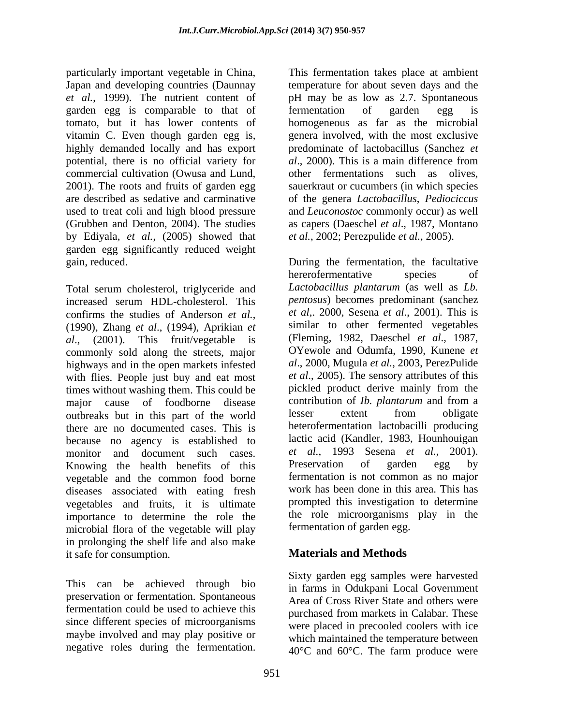particularly important vegetable in China, Japan and developing countries (Daunnay temperature for about seven days and the *et al.*, 1999). The nutrient content of pH may be as low as 2.7. Spontaneous garden egg is comparable to that of fermentation of garden egg is tomato, but it has lower contents of vitamin C. Even though garden egg is, highly demanded locally and has export predominate of lactobacillus (Sanchez *et*  potential, there is no official variety for al., 2000). This is a main difference from commercial cultivation (Owusa and Lund, other fermentations such as olives, 2001). The roots and fruits of garden egg sauerkraut or cucumbers (in which species are described as sedative and carminative of the genera *Lactobacillus*, *Pediociccus*  used to treat coli and high blood pressure (Grubben and Denton, 2004). The studies as capers (Daeschel *et al*., 1987, Montano by Ediyala, *et al.,* (2005) showed that garden egg significantly reduced weight gain, reduced. During the fermentation, the facultative

Total serum cholesterol, triglyceride and increased serum HDL-cholesterol. This *pentosus* becomes predominant (sanchez confirms the studies of Anderson *et al.*, *et al.*, 2000, Sesena *et al.*, 2001). This is (1990), Zhang *et al.*, (1994), Aprikian *et* similar to other fermented vegetables *al*., (2001). This fruit/vegetable is commonly sold along the streets, major highways and in the open markets infested with flies. People just buy and eat most times without washing them. This could be pickled product derive mainly from the major cause of foodborne disease contribution of *Ib. plantarum* and from a major cause of foodborne disease contribution of *Ib. plantarum* and from a nuthreaks but in this part of the world lesser extent from obligate outbreaks but in this part of the world there are no documented cases. This is because no agency is established to monitor and document such cases. et al., 1993 Sesena et al., 2001).<br>Knowing the health benefits of this Preservation of garden egg by vegetable and the common food borne diseases associated with eating fresh vegetables and fruits, it is ultimate importance to determine the role the microbial flora of the vegetable will play in prolonging the shelf life and also make it safe for consumption.

This can be achieved through bio preservation or fermentation. Spontaneous fermentation could be used to achieve this since different species of microorganisms maybe involved and may play positive or negative roles during the fermentation. This fermentation takes place at ambient fermentation of garden egg is homogeneous as far as the microbial genera involved, with the most exclusive *al*., 2000). This is a main difference from and *Leuconostoc* commonly occur) as well *et al.*, 2002; Perezpulide *et al.*, 2005).

hererofermentative species of *Lactobacillus plantarum* (as well as *Lb. pentosus*) becomes predominant (sanchez *et al*,. 2000, Sesena *et al*., 2001). This is similar to other fermented vegetables (Fleming, 1982, Daeschel *et al*., 1987, OYewole and Odumfa, 1990, Kunene *et al*., 2000, Mugula *et al.*, 2003, PerezPulide *et al*., 2005). The sensory attributes of this pickled product derive mainly from the contribution of *Ib. plantarum* and from a lesser extent from obligate heterofermentation lactobacilli producing lactic acid (Kandler, 1983, Hounhouigan *et al.*, 1993 Sesena *et al.*, 2001). Preservation of garden egg by fermentation is not common as no major work has been done in this area. This has prompted this investigation to determine the role microorganisms play in the fermentation of garden egg.

# **Materials and Methods**

Sixty garden egg samples were harvested in farms in Odukpani Local Government Area of Cross River State and others were purchased from markets in Calabar. These were placed in precooled coolers with ice which maintained the temperature between 40°C and 60°C. The farm produce were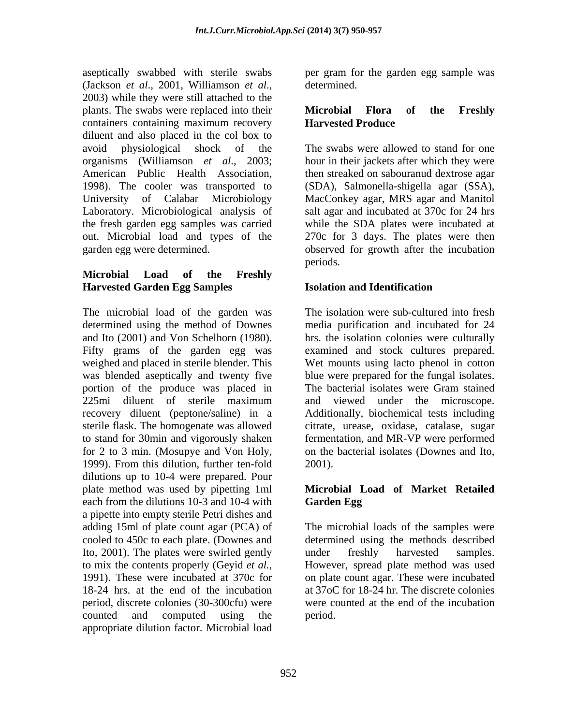aseptically swabbed with sterile swabs per gram for the garden egg sample was (Jackson *et al*., 2001, Williamson *et al*., 2003) while they were still attached to the plants. The swabs were replaced into their **Microbial Flora of the Freshly** containers containing maximum recovery **Harvested Produce** diluent and also placed in the col box to

## **Microbial Load of the Freshly Harvested Garden Egg Samples**

The microbial load of the garden was determined using the method of Downes media purification and incubated for 24 and Ito (2001) and Von Schelhorn (1980). hrs. the isolation colonies were culturally Fifty grams of the garden egg was weighed and placed in sterile blender. This Wet mounts using lacto phenol in cotton was blended aseptically and twenty five portion of the produce was placed in The bacterial isolates were Gram stained 225mi diluent of sterile maximum and viewed under the microscope. recovery diluent (peptone/saline) in a Additionally, biochemical tests including sterile flask. The homogenate was allowed citrate, urease, oxidase, catalase, sugar to stand for 30min and vigorously shaken fermentation, and MR-VP were performed for 2 to 3 min. (Mosupye and Von Holy, on the bacterial isolates (Downes and Ito, 1999). From this dilution, further ten-fold dilutions up to 10-4 were prepared. Pour plate method was used by pipetting 1ml each from the dilutions 10-3 and 10-4 with Garden Egg a pipette into empty sterile Petri dishes and adding 15ml of plate count agar (PCA) of cooled to 450c to each plate. (Downes and determined using the methods described Ito, 2001). The plates were swirled gently under freshly harvested samples. to mix the contents properly (Geyid *et al.*, However, spread plate method was used 1991). These were incubated at 370c for on plate count agar. These were incubated 18-24 hrs. at the end of the incubation at 37oC for 18-24 hr. The discrete colonies period, discrete colonies (30-300cfu) were counted and computed using the appropriate dilution factor. Microbial load

determined.

## **Microbial Flora of the Freshly Harvested Produce**

avoid physiological shock of the The swabs were allowed to stand for one organisms (Williamson *et al*., 2003; hour in their jackets after which they were American Public Health Association, then streaked on sabouranud dextrose agar 1998). The cooler was transported to (SDA), Salmonella-shigella agar (SSA), University of Calabar Microbiology MacConkey agar, MRS agar and Manitol Laboratory. Microbiological analysis of salt agar and incubated at 370c for 24 hrs the fresh garden egg samples was carried while the SDA plates were incubated at out. Microbial load and types of the 270c for 3 days. The plates were then garden egg were determined. observed for growth after the incubation periods.

# **Isolation and Identification**

The isolation were sub-cultured into fresh examined and stock cultures prepared. blue were prepared for the fungal isolates. The bacterial isolates were Gram stained and viewed under the microscope. 2001).

## **Microbial Load of Market Retailed Garden Egg**

The microbial loads of the samples were under freshly harvested samples. However, spread plate method was used on plate count agar. These were incubated were counted at the end of the incubation period.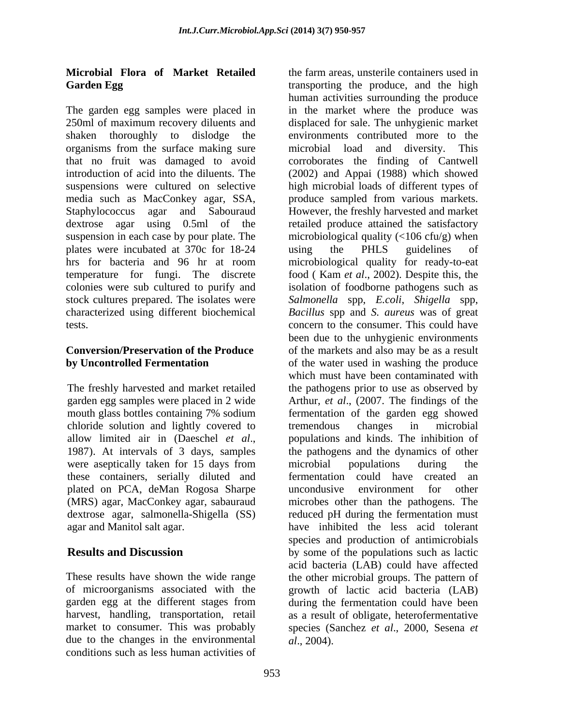# **Microbial Flora of Market Retailed**

organisms from the surface making sure microbial load and diversity. This suspension in each case by pour plate. The plates were incubated at 370c for 18-24

chloride solution and lightly covered to<br>allow limited air in (Daeschel *et al.*, populations and kinds. The inhibition of were aseptically taken for 15 days from microbial populations during the these containers, serially diluted and plated on PCA, deMan Rogosa Sharpe uncondusive environment for other

harvest, handling, transportation, retail due to the changes in the environmental conditions such as less human activities of

**Garden Egg**  transporting the produce, and the high The garden egg samples were placed in in the market where the produce was 250ml of maximum recovery diluents and displaced for sale. The unhygienic market shaken thoroughly to dislodge the environments contributed more to the that no fruit was damaged to avoid corroborates the finding of Cantwell introduction of acid into the diluents. The (2002) and Appai (1988) which showed suspensions were cultured on selective high microbial loads of different types of media such as MacConkey agar, SSA, produce sampled from various markets. Staphylococcus agar and Sabouraud However, the freshly harvested and market dextrose agar using 0.5ml of the retailed produce attained the satisfactory hrs for bacteria and 96 hr at room microbiological quality for ready-to-eat temperature for fungi. The discrete food ( Kam *et al*., 2002). Despite this, the colonies were sub cultured to purify and isolation of foodborne pathogens such as stock cultures prepared. The isolates were Salmonella spp, *E.coli*, *Shigella* spp, characterized using different biochemical *Bacillus* spp and *S. aureus* was of great tests. concern to the consumer. This could have **Conversion/Preservation of the Produce**  of the markets and also may be as a result **by Uncontrolled Fermentation** of the water used in washing the produce The freshly harvested and market retailed the pathogens prior to use as observed by garden egg samples were placed in 2 wide Arthur, *et al*., (2007. The findings of the mouth glass bottles containing 7% sodium fermentation of the garden egg showed allow limited air in (Daeschel *et al.*, 1987). At intervals of 3 days, samples the pathogens and the dynamics of other (MRS) agar, MacConkey agar, sabauraud microbes other than the pathogens. The dextrose agar, salmonella-Shigella (SS) reduced pH during the fermentation must agar and Manitol salt agar. have inhibited the less acid tolerant **Results and Discussion** by some of the populations such as lactic These results have shown the wide range the other microbial groups. The pattern of of microorganisms associated with the growth of lactic acid bacteria (LAB) garden egg at the different stages from during the fermentation could have been market to consumer. This was probably species (Sanchez *et al*., 2000, Sesena *et*  the farm areas, unsterile containers used in human activities surrounding the produce microbial load and diversity. This microbiological quality  $\left(\frac{106}{\text{c}}\right)$  when using the PHLS guidelines of been due to the unhygienic environments which must have been contaminated with fermentation of the garden egg showed tremendous changes in microbial populations and kinds. The inhibition of the pathogens and the dynamics of other microbial populations during the fermentation could have created an uncondusive environment for other species and production of antimicrobials acid bacteria (LAB) could have affected as a result of obligate, heterofermentative *al*., 2004).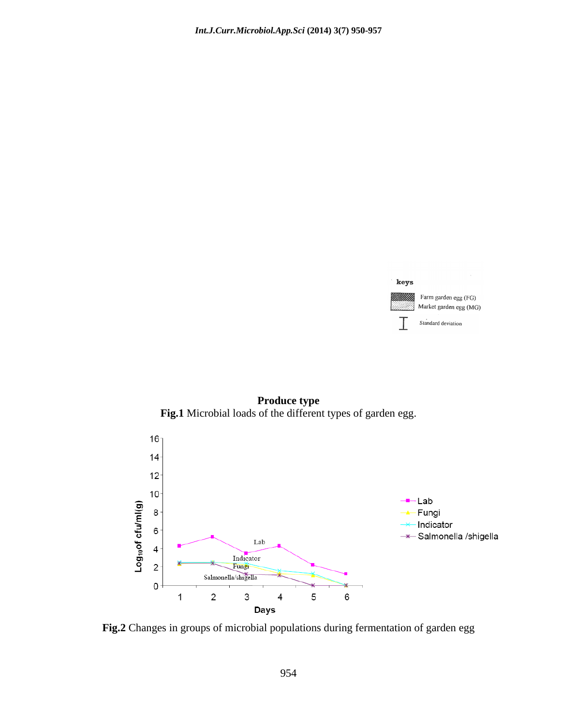

**Produce type Fig.1** Microbial loads of the different types of garden egg.



**Fig.2** Changes in groups of microbial populations during fermentation of garden egg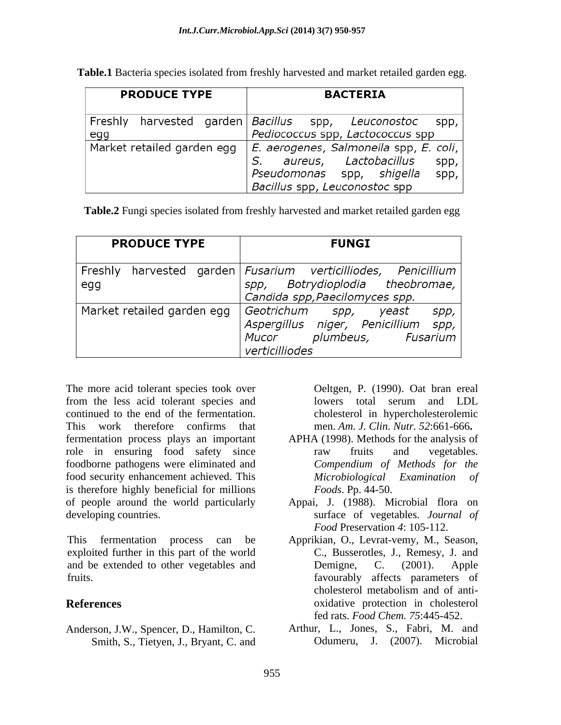**Table.1** Bacteria species isolated from freshly harvested and market retailed garden egg.

| <b>PRODUCE TYPE</b>        |  |  | <b>BACTERIA</b>                                                                                                                                     |  |  |  |
|----------------------------|--|--|-----------------------------------------------------------------------------------------------------------------------------------------------------|--|--|--|
| Freshly<br>egg             |  |  | harvested garden Bacillus spp, Leuconostoc<br>spp,<br>Pediococcus spp, Lactococcus spp                                                              |  |  |  |
| Market retailed garden egg |  |  | E. aerogenes, Salmonella spp, E. coli,<br>aureus, Lactobacillus<br>S.<br>spp,<br>Pseudomonas spp, shigella<br>spp,<br>Bacillus spp, Leuconostoc spp |  |  |  |

**Table.2** Fungi species isolated from freshly harvested and market retailed garden egg

| <b>PRODUCE TYPE</b>        |  |  | <b>FUNGI</b>                                                                                                                       |  |       |              |  |
|----------------------------|--|--|------------------------------------------------------------------------------------------------------------------------------------|--|-------|--------------|--|
| egg                        |  |  | Freshly harvested garden Fusarium verticilliodes, Penicillium<br>spp, Botrydioplodia theobromae,<br>Candida spp, Paecilomyces spp. |  |       |              |  |
| Market retailed garden egg |  |  | Geotrichum spp,<br>Aspergillus niger, Penicillium<br>Mucor plumbeus, Fusarium<br>verticilliodes                                    |  | yeast | spp,<br>spp, |  |

The more acid tolerant species took over from the less acid tolerant species and lowers total serum and LDL continued to the end of the fermentation. This work therefore confirms that men. *Am. J. Clin. Nutr. 52*:661-666**.** fermentation process plays an important role in ensuring food safety since raw fruits and vegetables. food security enhancement achieved. This is therefore highly beneficial for millions of people around the world particularly Appai, J. (1988). Microbial flora on developing countries. surface of vegetables. *Journal of*

This fermentation process can be Apprikian, O., Levrat-vemy, M., Season, exploited further in this part of the world and be extended to other vegetables and Demigne, C. (2001). Apple fruits. favourably affects parameters of

Anderson, J.W., Spencer, D., Hamilton, C. Smith, S., Tietyen, J., Bryant, C. and Oeltgen, P. (1990). Oat bran ereal lowers total serum and LDL cholesterol in hypercholesterolemic

- foodborne pathogens were eliminated and *Compendium of Methods for the* APHA (1998). Methods for the analysis of raw fruits and vegetables. *Microbiological Examination of Foods*. Pp. 44-50.
	- *Food* Preservation *4*: 105-112.
- **References** oxidative protection in cholesterol C., Busserotles, J., Remesy, J. and Demigne, C. (2001). Apple cholesterol metabolism and of anti fed rats. *Food Chem. 75*:445-452.
	- Arthur, L., Jones, S., Fabri, M. and Odumeru, J. (2007). Microbial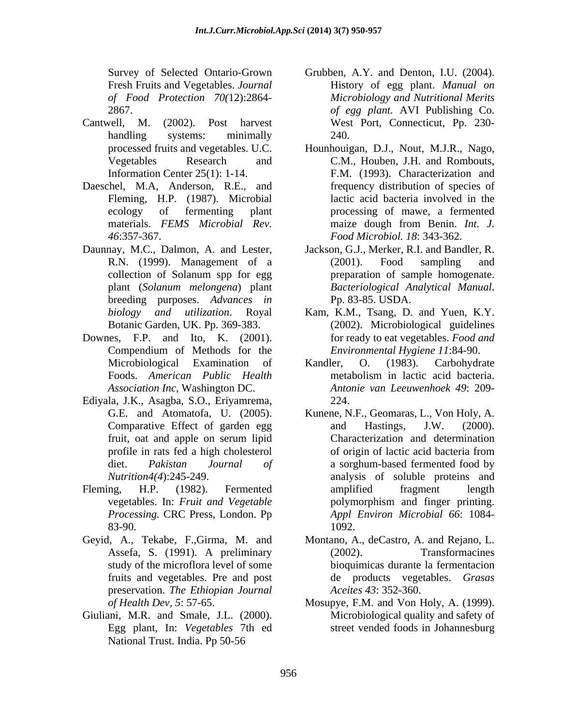- Cantwell, M. (2002). Post harvest West Port, Connecticut, Pp. 230-
- Daeschel, M.A, Anderson, R.E., and Fleming, H.P. (1987). Microbial
- Daunnay, M.C., Dalmon, A. and Lester, breeding purposes. *Advances in*
- Downes, F.P. and Ito, K. (2001). Compendium of Methods for the
- Ediyala, J.K., Asagba, S.O., Eriyamrema,
- *Processing.* CRC Press, London. Pp
- preservation. *The Ethiopian Journal*
- Giuliani, M.R. and Smale, J.L. (2000). Egg plant, In: *Vegetables* 7th ed National Trust. India. Pp 50-56
- Survey of Selected Ontario-Grown Grubben, A.Y. and Denton, I.U. (2004). Fresh Fruits and Vegetables. *Journal*  History of egg plant. *Manual on of Food Protection 70(*12):2864- *Microbiology and Nutritional Merits* 2867. *of egg plant.* AVI Publishing Co. handling systems: minimally 240. 240.
- processed fruits and vegetables. U.C. Hounhouigan, D.J., Nout, M.J.R., Nago, Vegetables Research and C.M., Houben, J.H. and Rombouts, Information Center 25(1): 1-14. F.M. (1993). Characterization and ecology of fermenting plant processing of mawe, a fermented materials. *FEMS Microbial Rev. 46*:357-367. *Food Microbiol. 18*: 343-362. frequency distribution of species of lactic acid bacteria involved in the maize dough from Benin. *Int. J.*
- R.N. (1999). Management of a collection of Solanum spp for egg plant (*Solanum melongena*) plant *Bacteriological Analytical Manual*. Pp. 83-85. USDA. Jackson, G.J., Merker, R.I. and Bandler, R. (2001). Food sampling and preparation of sample homogenate.
- *biology and utilization*. Royal Kam, K.M., Tsang, D. and Yuen, K.Y. Botanic Garden, UK. Pp. 369-383. (2002). Microbiological guidelines for ready to eat vegetables. *Food and Environmental Hygiene 11*:84-90.
- Microbiological Examination of Kandler, O. (1983). Carbohydrate Foods. *American Public Health Association Inc*, Washington DC. *Antonie van Leeuwenhoek 49*: 209- Kandler, O. (1983). Carbohydrate metabolism in lactic acid bacteria. 224.
- G.E. and Atomatofa, U. (2005). Kunene, N.F., Geomaras, L., Von Holy, A. Comparative Effect of garden egg and Hastings, J.W. (2000). fruit, oat and apple on serum lipid profile in rats fed a high cholesterol diet. *Pakistan Journal of* a sorghum-based fermented food by *Nutrition4(4*):245-249. analysis of soluble proteins and Fleming, H.P. (1982). Fermented vegetables. In: *Fruit and Vegetable* 83-90. 1092. and Hastings, J.W. (2000). Characterization and determination of origin of lactic acid bacteria from amplified fragment length polymorphism and finger printing. *Appl Environ Microbial 66*: 1084- 1092.
- Geyid, A., Tekabe, F.,Girma, M. and Montano, A., deCastro, A. and Rejano, L. Assefa, S. (1991). A preliminary study of the microflora level of some bioquimicas durante la fermentacion fruits and vegetables. Pre and post de products vegetables. *Grasas*  (2002). Transformacines *Aceites 43*: 352-360.
	- *of Health Dev, 5*: 57-65. Mosupye, F.M. and Von Holy, A. (1999). Microbiological quality and safety of street vended foods in Johannesburg